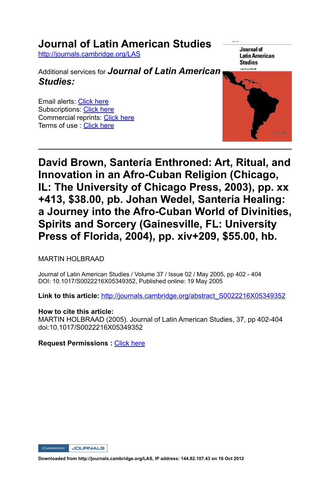## **Journal of Latin American Studies**

http://journals.cambridge.org/LAS

Additional services for *Journal of Latin American Studies:*

Email alerts: Click here Subscriptions: Click here Commercial reprints: Click here Terms of use : Click here

Journal of **Latin American Studies** 



## **David Brown, Santería Enthroned: Art, Ritual, and Innovation in an Afro-Cuban Religion (Chicago, IL: The University of Chicago Press, 2003), pp. xx +413, \$38.00, pb. Johan Wedel, Santería Healing:**  a Journey into the Afro-Cuban World of Divinities, **Spirits and Sorcery (Gainesville, FL: University Press of Florida, 2004), pp. xiv+209, \$55.00, hb.**

MARTIN HOLBRAAD

Journal of Latin American Studies / Volume 37 / Issue 02 / May 2005, pp 402 - 404 DOI: 10.1017/S0022216X05349352, Published online: 19 May 2005

**Link to this article:** http://journals.cambridge.org/abstract\_S0022216X05349352

## **How to cite this article:**

MARTIN HOLBRAAD (2005). Journal of Latin American Studies, 37, pp 402-404 doi:10.1017/S0022216X05349352

**Request Permissions :** Click here

CAMBRIDGE JOURNALS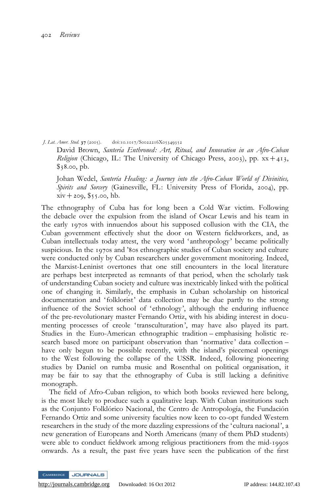J. Lat. Amer. Stud. 37 (2005). doi:10.1017/S0022216X05349352

David Brown, Santería Enthroned: Art, Ritual, and Innovation in an Afro-Cuban *Religion* (Chicago, IL: The University of Chicago Press, 2003), pp.  $xx + 413$ ,  $$38.00, pb.$ 

Johan Wedel, Santería Healing: a Journey into the Afro-Cuban World of Divinities, Spirits and Sorcery (Gainesville, FL: University Press of Florida, 2004), pp.  $xiv + 209, $55.00, hb.$ 

The ethnography of Cuba has for long been a Cold War victim. Following the debacle over the expulsion from the island of Oscar Lewis and his team in the early 1970s with innuendos about his supposed collusion with the CIA, the Cuban government effectively shut the door on Western fieldworkers, and, as Cuban intellectuals today attest, the very word 'anthropology' became politically suspicious. In the 1970s and '80s ethnographic studies of Cuban society and culture were conducted only by Cuban researchers under government monitoring. Indeed, the Marxist-Leninist overtones that one still encounters in the local literature are perhaps best interpreted as remnants of that period, when the scholarly task of understanding Cuban society and culture was inextricably linked with the political one of changing it. Similarly, the emphasis in Cuban scholarship on historical documentation and ' folklorist' data collection may be due partly to the strong influence of the Soviet school of 'ethnology', although the enduring influence of the pre-revolutionary master Fernando Ortiz, with his abiding interest in documenting processes of creole 'transculturation', may have also played its part. Studies in the Euro-American ethnographic tradition – emphasising holistic research based more on participant observation than 'normative' data collection – have only begun to be possible recently, with the island's piecemeal openings to the West following the collapse of the USSR. Indeed, following pioneering studies by Daniel on rumba music and Rosenthal on political organisation, it may be fair to say that the ethnography of Cuba is still lacking a definitive monograph.

The field of Afro-Cuban religion, to which both books reviewed here belong, is the most likely to produce such a qualitative leap. With Cuban institutions such as the Conjunto Folklórico Nacional, the Centro de Antropología, the Fundación Fernando Ortiz and some university faculties now keen to co-opt funded Western researchers in the study of the more dazzling expressions of the 'cultura nacional', a new generation of Europeans and North Americans (many of them PhD students) were able to conduct fieldwork among religious practitioners from the mid-1990s onwards. As a result, the past five years have seen the publication of the first

**JOURNALS**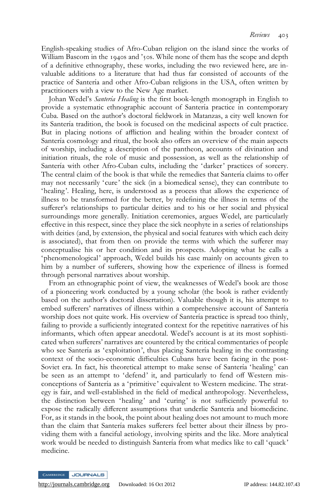English-speaking studies of Afro-Cuban religion on the island since the works of William Bascom in the 1940s and '50s. While none of them has the scope and depth of a definitive ethnography, these works, including the two reviewed here, are invaluable additions to a literature that had thus far consisted of accounts of the practice of Santería and other Afro-Cuban religions in the USA, often written by practitioners with a view to the New Age market.

Johan Wedel's *Santería Healing* is the first book-length monograph in English to provide a systematic ethnographic account of Santería practice in contemporary Cuba. Based on the author's doctoral fieldwork in Matanzas, a city well known for its Santería tradition, the book is focused on the medicinal aspects of cult practice. But in placing notions of affliction and healing within the broader context of Santería cosmology and ritual, the book also offers an overview of the main aspects of worship, including a description of the pantheon, accounts of divination and initiation rituals, the role of music and possession, as well as the relationship of Santería with other Afro-Cuban cults, including the 'darker' practices of sorcery. The central claim of the book is that while the remedies that Santería claims to offer may not necessarily 'cure' the sick (in a biomedical sense), they can contribute to 'healing'. Healing, here, is understood as a process that allows the experience of illness to be transformed for the better, by redefining the illness in terms of the sufferer's relationships to particular deities and to his or her social and physical surroundings more generally. Initiation ceremonies, argues Wedel, are particularly effective in this respect, since they place the sick neophyte in a series of relationships with deities (and, by extension, the physical and social features with which each deity is associated), that from then on provide the terms with which the sufferer may conceptualise his or her condition and its prospects. Adopting what he calls a 'phenomenological' approach, Wedel builds his case mainly on accounts given to him by a number of sufferers, showing how the experience of illness is formed through personal narratives about worship.

From an ethnographic point of view, the weaknesses of Wedel's book are those of a pioneering work conducted by a young scholar (the book is rather evidently based on the author's doctoral dissertation). Valuable though it is, his attempt to embed sufferers' narratives of illness within a comprehensive account of Santería worship does not quite work. His overview of Santería practice is spread too thinly, failing to provide a sufficiently integrated context for the repetitive narratives of his informants, which often appear anecdotal. Wedel's account is at its most sophisticated when sufferers' narratives are countered by the critical commentaries of people who see Santería as 'exploitation', thus placing Santería healing in the contrasting context of the socio-economic difficulties Cubans have been facing in the post-Soviet era. In fact, his theoretical attempt to make sense of Santería 'healing' can be seen as an attempt to 'defend' it, and particularly to fend off Western misconceptions of Santerı´a as a 'primitive' equivalent to Western medicine. The strategy is fair, and well-established in the field of medical anthropology. Nevertheless, the distinction between 'healing' and 'curing' is not sufficiently powerful to expose the radically different assumptions that underlie Santería and biomedicine. For, as it stands in the book, the point about healing does not amount to much more than the claim that Santería makes sufferers feel better about their illness by providing them with a fanciful aetiology, involving spirits and the like. More analytical work would be needed to distinguish Santería from what medics like to call 'quack' medicine.